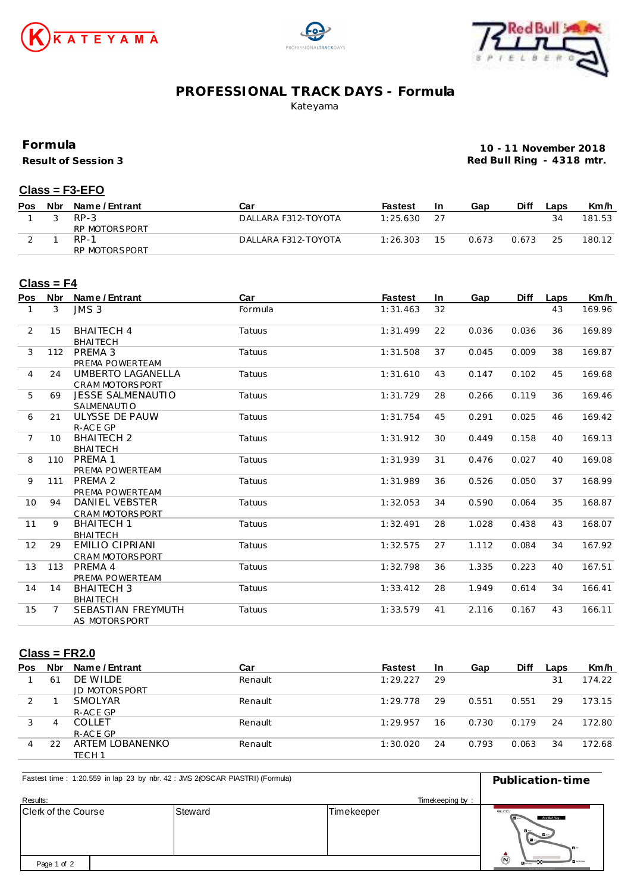





## **PROFESSIONAL TRACK DAYS - Formula**

Kateyama

**Formula**

**Result of Session 3**

**10 - 11 November 2018 Red Bull Ring - 4318 mtr.**

#### **Class = F3-EFO**

| Pos | Nbr | Name / Entrant | Car                 | <b>Fastest</b> | <u>In</u> | Gap   | Diff  | ∟aps | Km/h   |
|-----|-----|----------------|---------------------|----------------|-----------|-------|-------|------|--------|
|     |     | $RP-3$         | DALLARA F312-TOYOTA | 1:25.630       |           |       |       |      | 181.53 |
|     |     | RP MOTORSPORT  |                     |                |           |       |       |      |        |
|     |     | RP-1           | DALLARA F312-TOYOTA | 1:26.303       | 15        | 0.673 | 0.673 | 25   | 180.12 |
|     |     | RP MOTORSPORT  |                     |                |           |       |       |      |        |

#### **Class = F4**

| Pos            | <b>Nbr</b> | Name / Entrant           | Car     | <b>Fastest</b> | <b>In</b> | Gap   | <b>Diff</b> | Laps | Km/h   |
|----------------|------------|--------------------------|---------|----------------|-----------|-------|-------------|------|--------|
| 1              | 3          | JMS <sub>3</sub>         | Formula | 1:31.463       | 32        |       |             | 43   | 169.96 |
| 2              | 15         | <b>BHAITECH 4</b>        | Tatuus  | 1:31.499       | 22        | 0.036 | 0.036       | 36   | 169.89 |
|                |            | <b>BHAITECH</b>          |         |                |           |       |             |      |        |
| 3              | 112        | PREMA 3                  | Tatuus  | 1:31.508       | 37        | 0.045 | 0.009       | 38   | 169.87 |
|                |            | PREMA POWERTEAM          |         |                |           |       |             |      |        |
| $\overline{4}$ | 24         | UMBERTO LAGANELLA        | Tatuus  | 1:31.610       | 43        | 0.147 | 0.102       | 45   | 169.68 |
|                |            | <b>CRAM MOTORSPORT</b>   |         |                |           |       |             |      |        |
| 5              | 69         | <b>JESSE SALMENAUTIO</b> | Tatuus  | 1:31.729       | 28        | 0.266 | 0.119       | 36   | 169.46 |
|                |            | SALMENAUTIO              |         |                |           |       |             |      |        |
| 6              | 21         | ULYSSE DE PAUW           | Tatuus  | 1:31.754       | 45        | 0.291 | 0.025       | 46   | 169.42 |
|                |            | R-ACE GP                 |         |                |           |       |             |      |        |
| $\overline{7}$ | 10         | <b>BHAITECH 2</b>        | Tatuus  | 1:31.912       | 30        | 0.449 | 0.158       | 40   | 169.13 |
|                |            | <b>BHAITECH</b>          |         |                |           |       |             |      |        |
| 8              | 110        | PREMA 1                  | Tatuus  | 1:31.939       | 31        | 0.476 | 0.027       | 40   | 169.08 |
|                |            | PREMA POWERTEAM          |         |                |           |       |             |      |        |
| 9              | 111        | PREMA <sub>2</sub>       | Tatuus  | 1:31.989       | 36        | 0.526 | 0.050       | 37   | 168.99 |
|                |            | PREMA POWERTEAM          |         |                |           |       |             |      |        |
| 10             | 94         | DANIEL VEBSTER           | Tatuus  | 1:32.053       | 34        | 0.590 | 0.064       | 35   | 168.87 |
|                |            | <b>CRAM MOTORSPORT</b>   |         |                |           |       |             |      |        |
| 11             | 9          | <b>BHAITECH 1</b>        | Tatuus  | 1:32.491       | 28        | 1.028 | 0.438       | 43   | 168.07 |
|                |            | <b>BHAITECH</b>          |         |                |           |       |             |      |        |
| 12             | 29         | <b>EMILIO CIPRIANI</b>   | Tatuus  | 1:32.575       | 27        | 1.112 | 0.084       | 34   | 167.92 |
|                |            | <b>CRAM MOTORSPORT</b>   |         |                |           |       |             |      |        |
| 13             | 113        | PREMA 4                  | Tatuus  | 1:32.798       | 36        | 1.335 | 0.223       | 40   | 167.51 |
|                |            | PREMA POWERTEAM          |         |                |           |       |             |      |        |
| 14             | 14         | <b>BHAITECH 3</b>        | Tatuus  | 1:33.412       | 28        | 1.949 | 0.614       | 34   | 166.41 |
|                |            | <b>BHAITECH</b>          |         |                |           |       |             |      |        |
| 15             |            | SEBASTIAN FREYMUTH       | Tatuus  | 1:33.579       | 41        | 2.116 | 0.167       | 43   | 166.11 |
|                |            | AS MOTORSPORT            |         |                |           |       |             |      |        |

### **Class = FR2.0**

| <b>Pos</b>    | Nbr | Name / Entrant       | Car     | <b>Fastest</b> | <b>In</b> | Gap   | <b>Diff</b> | Laps | Km/h   |
|---------------|-----|----------------------|---------|----------------|-----------|-------|-------------|------|--------|
|               | 61  | DE WILDE             | Renault | 1:29.227       | 29        |       |             | 31   | 174.22 |
|               |     | <b>JD MOTORSPORT</b> |         |                |           |       |             |      |        |
| $\mathcal{D}$ |     | SMOLYAR              | Renault | 1:29.778       | 29        | 0.551 | 0.551       | 29   | 173.15 |
|               |     | R-ACE GP             |         |                |           |       |             |      |        |
|               | 4   | <b>COLLET</b>        | Renault | 1:29.957       | 16        | 0.730 | 0.179       | 24   | 172.80 |
|               |     | R-ACE GP             |         |                |           |       |             |      |        |
| 4             | 22  | ARTEM LOBANENKO      | Renault | 1:30.020       | 24        | 0.793 | 0.063       | 34   | 172.68 |
|               |     | TECH 1               |         |                |           |       |             |      |        |

| Fastest time: 1:20.559 in lap 23 by nbr. 42 : JMS 2(OSCAR PIASTRI) (Formula) | Publication-time |         |            |                                               |
|------------------------------------------------------------------------------|------------------|---------|------------|-----------------------------------------------|
| Results:                                                                     |                  |         |            | Timekeeping by:                               |
| Clerk of the Course                                                          |                  | Steward | Timekeeper | C<br>Red Bull Ring<br>$B -$<br>$\blacksquare$ |
| Page 1 of 2                                                                  |                  |         |            | $\circledR$<br><b>B</b> ureau                 |